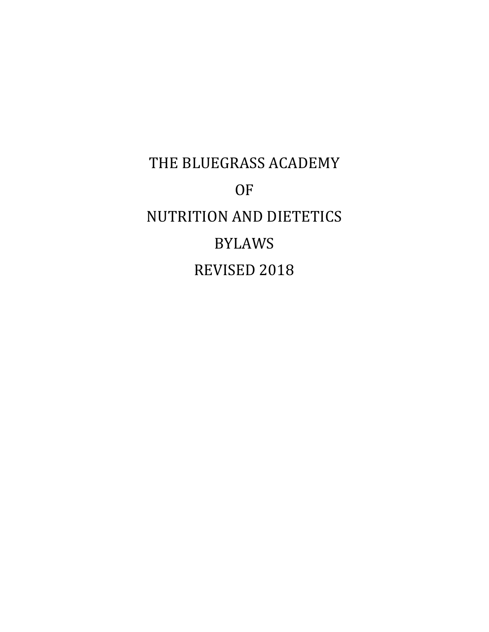THE BLUEGRASS ACADEMY **OF** NUTRITION AND DIETETICS BYLAWS REVISED 2018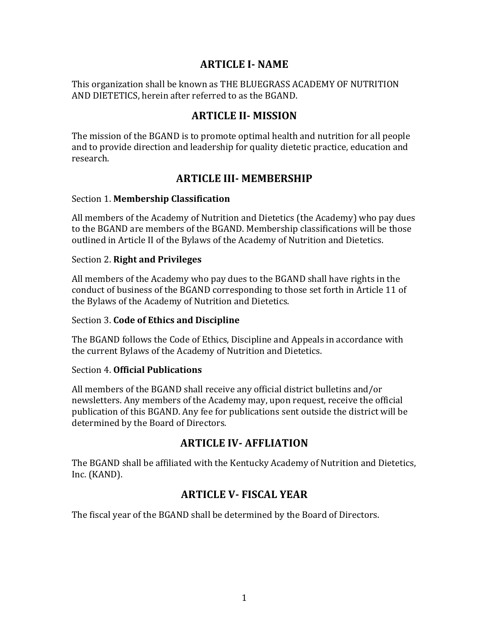## **ARTICLE I- NAME**

This organization shall be known as THE BLUEGRASS ACADEMY OF NUTRITION AND DIETETICS, herein after referred to as the BGAND.

## **ARTICLE II- MISSION**

The mission of the BGAND is to promote optimal health and nutrition for all people and to provide direction and leadership for quality dietetic practice, education and research. 

# **ARTICLE III- MEMBERSHIP**

### Section 1. **Membership Classification**

All members of the Academy of Nutrition and Dietetics (the Academy) who pay dues to the BGAND are members of the BGAND. Membership classifications will be those outlined in Article II of the Bylaws of the Academy of Nutrition and Dietetics.

### Section 2. **Right and Privileges**

All members of the Academy who pay dues to the BGAND shall have rights in the conduct of business of the BGAND corresponding to those set forth in Article 11 of the Bylaws of the Academy of Nutrition and Dietetics.

## Section 3. **Code of Ethics and Discipline**

The BGAND follows the Code of Ethics, Discipline and Appeals in accordance with the current Bylaws of the Academy of Nutrition and Dietetics.

#### Section 4. **Official Publications**

All members of the BGAND shall receive any official district bulletins and/or newsletters. Any members of the Academy may, upon request, receive the official publication of this BGAND. Any fee for publications sent outside the district will be determined by the Board of Directors.

## **ARTICLE IV- AFFLIATION**

The BGAND shall be affiliated with the Kentucky Academy of Nutrition and Dietetics, Inc. (KAND).

# **ARTICLE V- FISCAL YEAR**

The fiscal year of the BGAND shall be determined by the Board of Directors.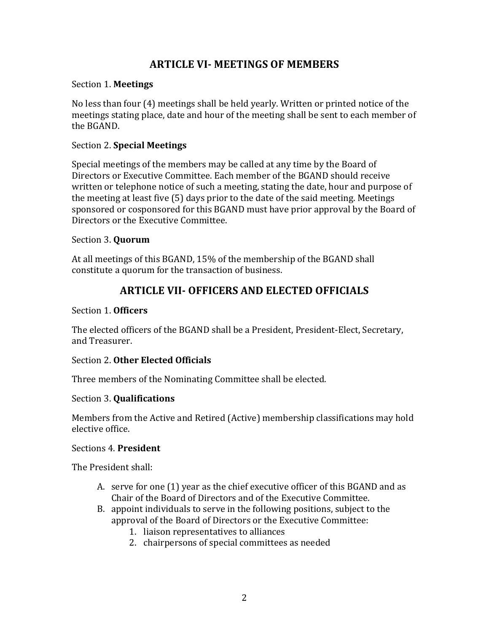## **ARTICLE VI- MEETINGS OF MEMBERS**

#### Section 1. **Meetings**

No less than four (4) meetings shall be held yearly. Written or printed notice of the meetings stating place, date and hour of the meeting shall be sent to each member of the BGAND.

### Section 2. **Special Meetings**

Special meetings of the members may be called at any time by the Board of Directors or Executive Committee. Each member of the BGAND should receive written or telephone notice of such a meeting, stating the date, hour and purpose of the meeting at least five  $(5)$  days prior to the date of the said meeting. Meetings sponsored or cosponsored for this BGAND must have prior approval by the Board of Directors or the Executive Committee.

### Section 3. **Quorum**

At all meetings of this BGAND, 15% of the membership of the BGAND shall constitute a quorum for the transaction of business.

# **ARTICLE VII- OFFICERS AND ELECTED OFFICIALS**

## Section 1. Officers

The elected officers of the BGAND shall be a President, President-Elect, Secretary, and Treasurer.

## Section 2. Other Elected Officials

Three members of the Nominating Committee shall be elected.

#### Section 3. **Qualifications**

Members from the Active and Retired (Active) membership classifications may hold elective office.

#### Sections 4. President

The President shall:

- A. serve for one (1) year as the chief executive officer of this BGAND and as Chair of the Board of Directors and of the Executive Committee.
- B. appoint individuals to serve in the following positions, subject to the approval of the Board of Directors or the Executive Committee:
	- 1. liaison representatives to alliances
	- 2. chairpersons of special committees as needed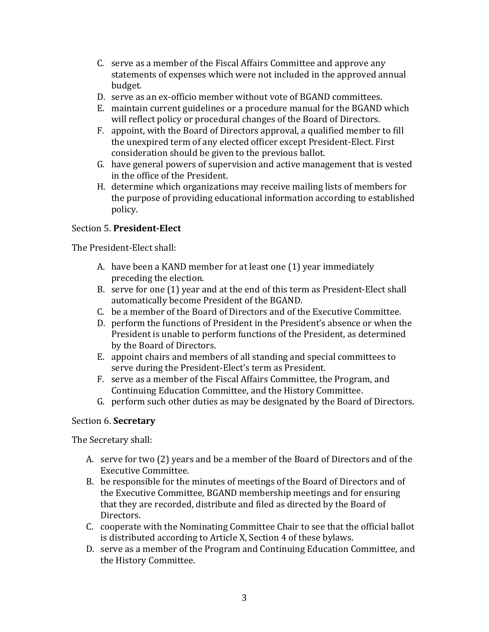- C. serve as a member of the Fiscal Affairs Committee and approve any statements of expenses which were not included in the approved annual budget.
- D. serve as an ex-officio member without vote of BGAND committees.
- E. maintain current guidelines or a procedure manual for the BGAND which will reflect policy or procedural changes of the Board of Directors.
- F. appoint, with the Board of Directors approval, a qualified member to fill the unexpired term of any elected officer except President-Elect. First consideration should be given to the previous ballot.
- G. have general powers of supervision and active management that is vested in the office of the President.
- H. determine which organizations may receive mailing lists of members for the purpose of providing educational information according to established policy.

## Section 5. **President-Elect**

The President-Elect shall:

- A. have been a KAND member for at least one (1) year immediately preceding the election.
- B. serve for one (1) year and at the end of this term as President-Elect shall automatically become President of the BGAND.
- C. be a member of the Board of Directors and of the Executive Committee.
- D. perform the functions of President in the President's absence or when the President is unable to perform functions of the President, as determined by the Board of Directors.
- E. appoint chairs and members of all standing and special committees to serve during the President-Elect's term as President.
- F. serve as a member of the Fiscal Affairs Committee, the Program, and Continuing Education Committee, and the History Committee.
- G. perform such other duties as may be designated by the Board of Directors.

#### Section 6. **Secretary**

The Secretary shall:

- A. serve for two (2) years and be a member of the Board of Directors and of the Executive Committee.
- B. be responsible for the minutes of meetings of the Board of Directors and of the Executive Committee, BGAND membership meetings and for ensuring that they are recorded, distribute and filed as directed by the Board of Directors.
- C. cooperate with the Nominating Committee Chair to see that the official ballot is distributed according to Article X, Section 4 of these bylaws.
- D. serve as a member of the Program and Continuing Education Committee, and the History Committee.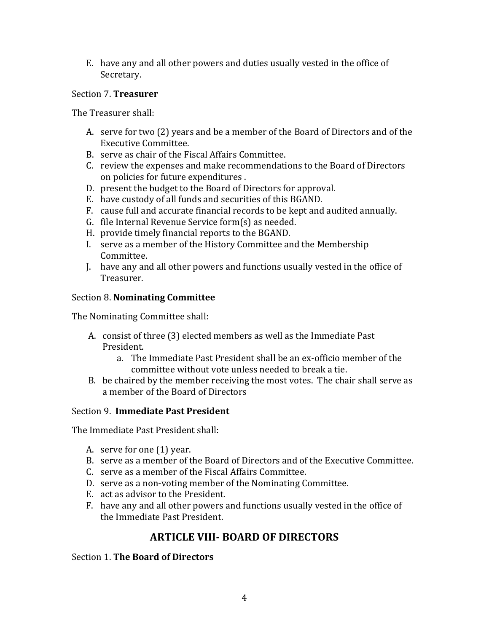E. have any and all other powers and duties usually vested in the office of Secretary.

## Section 7. **Treasurer**

The Treasurer shall:

- A. serve for two (2) years and be a member of the Board of Directors and of the Executive Committee.
- B. serve as chair of the Fiscal Affairs Committee.
- C. review the expenses and make recommendations to the Board of Directors on policies for future expenditures.
- D. present the budget to the Board of Directors for approval.
- E. have custody of all funds and securities of this BGAND.
- F. cause full and accurate financial records to be kept and audited annually.
- G. file Internal Revenue Service form $(s)$  as needed.
- H. provide timely financial reports to the BGAND.
- I. serve as a member of the History Committee and the Membership Committee.
- J. have any and all other powers and functions usually vested in the office of Treasurer.

### Section 8. **Nominating Committee**

The Nominating Committee shall:

- A. consist of three (3) elected members as well as the Immediate Past President.
	- a. The Immediate Past President shall be an ex-officio member of the committee without vote unless needed to break a tie.
- B. be chaired by the member receiving the most votes. The chair shall serve as a member of the Board of Directors

Section 9. **Immediate Past President** 

The Immediate Past President shall:

- A. serve for one  $(1)$  year.
- B. serve as a member of the Board of Directors and of the Executive Committee.
- C. serve as a member of the Fiscal Affairs Committee.
- D. serve as a non-voting member of the Nominating Committee.
- E. act as advisor to the President.
- F. have any and all other powers and functions usually vested in the office of the Immediate Past President.

# **ARTICLE VIII- BOARD OF DIRECTORS**

#### Section 1. **The Board of Directors**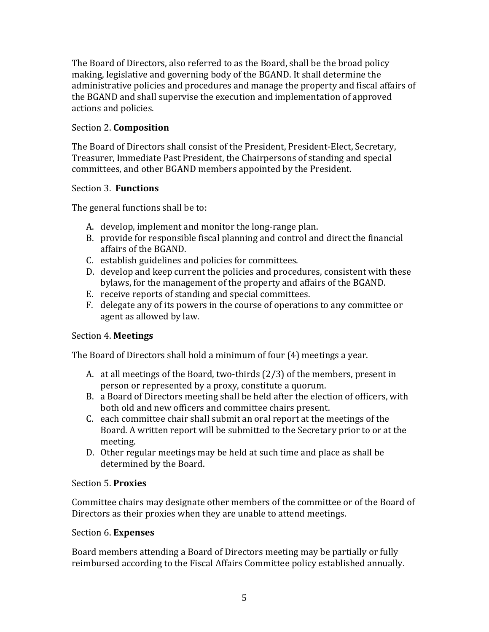The Board of Directors, also referred to as the Board, shall be the broad policy making, legislative and governing body of the BGAND. It shall determine the administrative policies and procedures and manage the property and fiscal affairs of the BGAND and shall supervise the execution and implementation of approved actions and policies.

## Section 2. **Composition**

The Board of Directors shall consist of the President, President-Elect, Secretary, Treasurer, Immediate Past President, the Chairpersons of standing and special committees, and other BGAND members appointed by the President.

## Section 3. **Functions**

The general functions shall be to:

- A. develop, implement and monitor the long-range plan.
- B. provide for responsible fiscal planning and control and direct the financial affairs of the BGAND.
- C. establish guidelines and policies for committees.
- D. develop and keep current the policies and procedures, consistent with these bylaws, for the management of the property and affairs of the BGAND.
- E. receive reports of standing and special committees.
- F. delegate any of its powers in the course of operations to any committee or agent as allowed by law.

## Section 4. **Meetings**

The Board of Directors shall hold a minimum of four (4) meetings a year.

- A. at all meetings of the Board, two-thirds  $(2/3)$  of the members, present in person or represented by a proxy, constitute a quorum.
- B. a Board of Directors meeting shall be held after the election of officers, with both old and new officers and committee chairs present.
- C. each committee chair shall submit an oral report at the meetings of the Board. A written report will be submitted to the Secretary prior to or at the meeting.
- D. Other regular meetings may be held at such time and place as shall be determined by the Board.

## Section 5. **Proxies**

Committee chairs may designate other members of the committee or of the Board of Directors as their proxies when they are unable to attend meetings.

## Section 6. **Expenses**

Board members attending a Board of Directors meeting may be partially or fully reimbursed according to the Fiscal Affairs Committee policy established annually.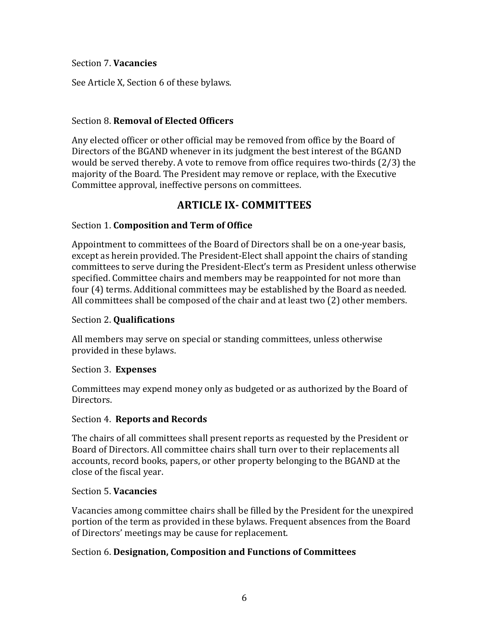#### Section 7. **Vacancies**

See Article X, Section 6 of these bylaws.

## **Section 8. Removal of Elected Officers**

Any elected officer or other official may be removed from office by the Board of Directors of the BGAND whenever in its judgment the best interest of the BGAND would be served thereby. A vote to remove from office requires two-thirds  $(2/3)$  the majority of the Board. The President may remove or replace, with the Executive Committee approval, ineffective persons on committees.

# **ARTICLE IX- COMMITTEES**

## Section 1. **Composition and Term of Office**

Appointment to committees of the Board of Directors shall be on a one-year basis, except as herein provided. The President-Elect shall appoint the chairs of standing committees to serve during the President-Elect's term as President unless otherwise specified. Committee chairs and members may be reappointed for not more than four (4) terms. Additional committees may be established by the Board as needed. All committees shall be composed of the chair and at least two  $(2)$  other members.

## Section 2. **Qualifications**

All members may serve on special or standing committees, unless otherwise provided in these bylaws.

#### Section 3. **Expenses**

Committees may expend money only as budgeted or as authorized by the Board of Directors.

## Section 4. **Reports and Records**

The chairs of all committees shall present reports as requested by the President or Board of Directors. All committee chairs shall turn over to their replacements all accounts, record books, papers, or other property belonging to the BGAND at the close of the fiscal year.

#### Section 5. **Vacancies**

Vacancies among committee chairs shall be filled by the President for the unexpired portion of the term as provided in these bylaws. Frequent absences from the Board of Directors' meetings may be cause for replacement.

## Section 6. Designation, Composition and Functions of Committees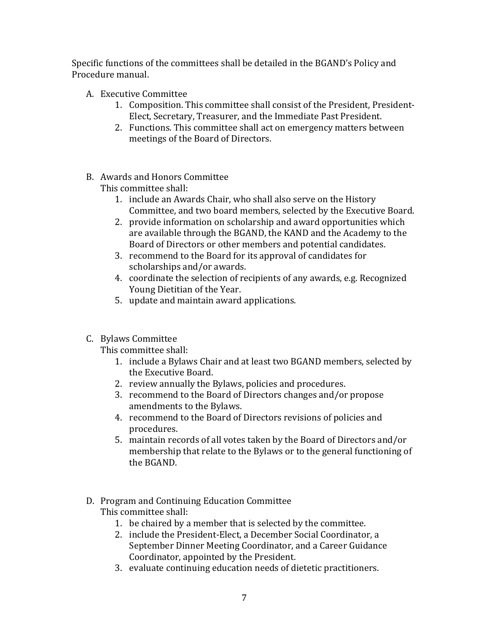Specific functions of the committees shall be detailed in the BGAND's Policy and Procedure manual.

- A. Executive Committee
	- 1. Composition. This committee shall consist of the President, President-Elect, Secretary, Treasurer, and the Immediate Past President.
	- 2. Functions. This committee shall act on emergency matters between meetings of the Board of Directors.
- B. Awards and Honors Committee

This committee shall:

- 1. include an Awards Chair, who shall also serve on the History Committee, and two board members, selected by the Executive Board.
- 2. provide information on scholarship and award opportunities which are available through the BGAND, the KAND and the Academy to the Board of Directors or other members and potential candidates.
- 3. recommend to the Board for its approval of candidates for scholarships and/or awards.
- 4. coordinate the selection of recipients of any awards, e.g. Recognized Young Dietitian of the Year.
- 5. update and maintain award applications.
- C. Bylaws Committee

This committee shall:

- 1. include a Bylaws Chair and at least two BGAND members, selected by the Executive Board.
- 2. review annually the Bylaws, policies and procedures.
- 3. recommend to the Board of Directors changes and/or propose amendments to the Bylaws.
- 4. recommend to the Board of Directors revisions of policies and procedures.
- 5. maintain records of all votes taken by the Board of Directors and/or membership that relate to the Bylaws or to the general functioning of the BGAND.
- D. Program and Continuing Education Committee This committee shall:
	- 1. be chaired by a member that is selected by the committee.
	- 2. include the President-Elect, a December Social Coordinator, a September Dinner Meeting Coordinator, and a Career Guidance Coordinator, appointed by the President.
	- 3. evaluate continuing education needs of dietetic practitioners.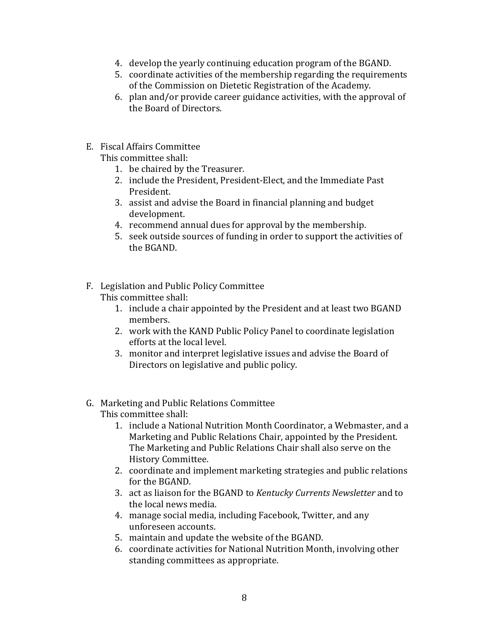- 4. develop the yearly continuing education program of the BGAND.
- 5. coordinate activities of the membership regarding the requirements of the Commission on Dietetic Registration of the Academy.
- 6. plan and/or provide career guidance activities, with the approval of the Board of Directors.
- E. Fiscal Affairs Committee

This committee shall:

- 1. be chaired by the Treasurer.
- 2. include the President, President-Elect, and the Immediate Past President.
- 3. assist and advise the Board in financial planning and budget development.
- 4. recommend annual dues for approval by the membership.
- 5. seek outside sources of funding in order to support the activities of the BGAND.
- F. Legislation and Public Policy Committee This committee shall:
	- 1. include a chair appointed by the President and at least two BGAND members.
	- 2. work with the KAND Public Policy Panel to coordinate legislation efforts at the local level.
	- 3. monitor and interpret legislative issues and advise the Board of Directors on legislative and public policy.
- G. Marketing and Public Relations Committee This committee shall:
	- 1. include a National Nutrition Month Coordinator, a Webmaster, and a Marketing and Public Relations Chair, appointed by the President. The Marketing and Public Relations Chair shall also serve on the History Committee.
	- 2. coordinate and implement marketing strategies and public relations for the BGAND.
	- 3. act as liaison for the BGAND to *Kentucky Currents Newsletter* and to the local news media.
	- 4. manage social media, including Facebook, Twitter, and any unforeseen accounts.
	- 5. maintain and update the website of the BGAND.
	- 6. coordinate activities for National Nutrition Month, involving other standing committees as appropriate.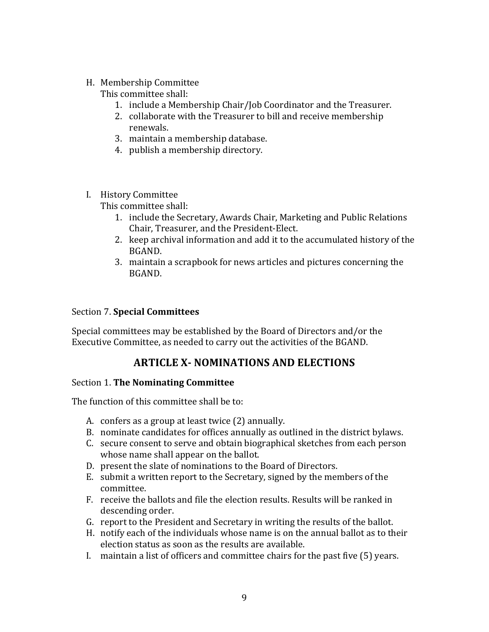H. Membership Committee

This committee shall:

- 1. include a Membership Chair/Job Coordinator and the Treasurer.
- 2. collaborate with the Treasurer to bill and receive membership renewals.
- 3. maintain a membership database.
- 4. publish a membership directory.
- I. History Committee

This committee shall:

- 1. include the Secretary, Awards Chair, Marketing and Public Relations Chair, Treasurer, and the President-Elect.
- 2. keep archival information and add it to the accumulated history of the BGAND.
- 3. maintain a scrapbook for news articles and pictures concerning the BGAND.

## Section 7. **Special Committees**

Special committees may be established by the Board of Directors and/or the Executive Committee, as needed to carry out the activities of the BGAND.

# **ARTICLE X- NOMINATIONS AND ELECTIONS**

## Section 1. **The Nominating Committee**

The function of this committee shall be to:

- A. confers as a group at least twice (2) annually.
- B. nominate candidates for offices annually as outlined in the district bylaws.
- C. secure consent to serve and obtain biographical sketches from each person whose name shall appear on the ballot.
- D. present the slate of nominations to the Board of Directors.
- E. submit a written report to the Secretary, signed by the members of the committee.
- F. receive the ballots and file the election results. Results will be ranked in descending order.
- G. report to the President and Secretary in writing the results of the ballot.
- H. notify each of the individuals whose name is on the annual ballot as to their election status as soon as the results are available.
- I. maintain a list of officers and committee chairs for the past five  $(5)$  years.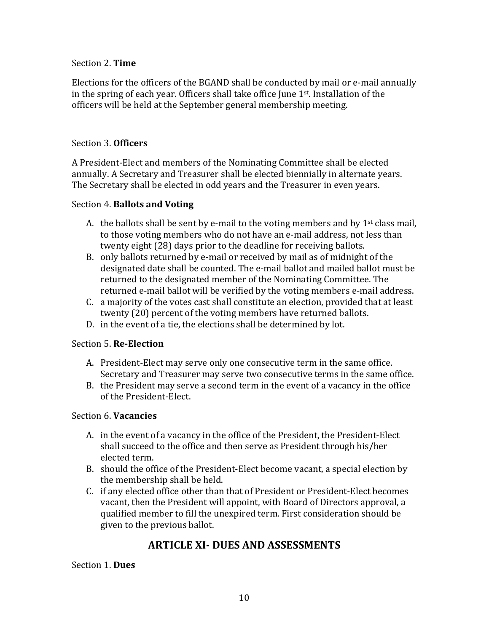#### Section 2. Time

Elections for the officers of the BGAND shall be conducted by mail or e-mail annually in the spring of each year. Officers shall take office June  $1<sup>st</sup>$ . Installation of the officers will be held at the September general membership meeting.

## Section 3. **Officers**

A President-Elect and members of the Nominating Committee shall be elected annually. A Secretary and Treasurer shall be elected biennially in alternate years. The Secretary shall be elected in odd years and the Treasurer in even years.

### Section 4. **Ballots and Voting**

- A. the ballots shall be sent by e-mail to the voting members and by  $1<sup>st</sup>$  class mail, to those voting members who do not have an e-mail address, not less than twenty eight (28) days prior to the deadline for receiving ballots.
- B. only ballots returned by e-mail or received by mail as of midnight of the designated date shall be counted. The e-mail ballot and mailed ballot must be returned to the designated member of the Nominating Committee. The returned e-mail ballot will be verified by the voting members e-mail address.
- C. a majority of the votes cast shall constitute an election, provided that at least twenty (20) percent of the voting members have returned ballots.
- D. in the event of a tie, the elections shall be determined by lot.

#### Section 5. **Re-Election**

- A. President-Elect may serve only one consecutive term in the same office. Secretary and Treasurer may serve two consecutive terms in the same office.
- B. the President may serve a second term in the event of a vacancy in the office of the President-Elect.

#### Section 6. **Vacancies**

- A. in the event of a vacancy in the office of the President, the President-Elect shall succeed to the office and then serve as President through his/her elected term.
- B. should the office of the President-Elect become vacant, a special election by the membership shall be held.
- C. if any elected office other than that of President or President-Elect becomes vacant, then the President will appoint, with Board of Directors approval, a qualified member to fill the unexpired term. First consideration should be given to the previous ballot.

# **ARTICLE XI- DUES AND ASSESSMENTS**

#### Section 1. Dues